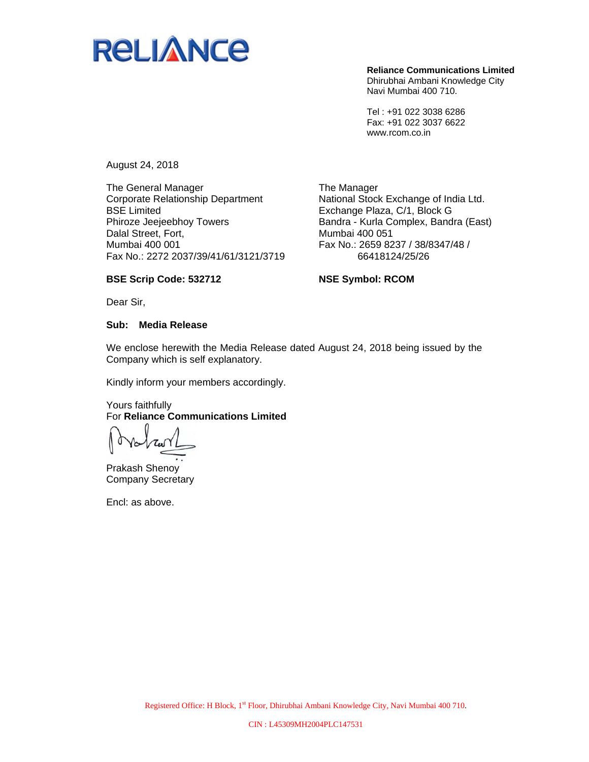

**Reliance Communications Limited**  Dhirubhai Ambani Knowledge City Navi Mumbai 400 710.

Tel : +91 022 3038 6286 Fax: +91 022 3037 6622 www.rcom.co.in

August 24, 2018

The General Manager Corporate Relationship Department BSE Limited Phiroze Jeejeebhoy Towers Dalal Street, Fort, Mumbai 400 001 Fax No.: 2272 2037/39/41/61/3121/3719

The Manager National Stock Exchange of India Ltd. Exchange Plaza, C/1, Block G Bandra - Kurla Complex, Bandra (East) Mumbai 400 051 Fax No.: 2659 8237 / 38/8347/48 / 66418124/25/26

#### **BSE Scrip Code: 532712**

**NSE Symbol: RCOM** 

Dear Sir,

#### **Sub: Media Release**

We enclose herewith the Media Release dated August 24, 2018 being issued by the Company which is self explanatory.

Kindly inform your members accordingly.

#### Yours faithfully For **Reliance Communications Limited**

Prakash Shenoy Company Secretary

Encl: as above.